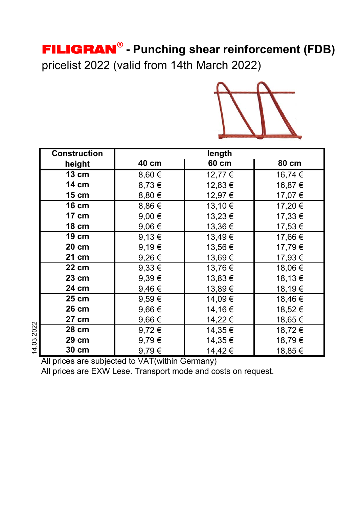# FILIGRAN**® - Punching shear reinforcement (FDB)**

pricelist 2022 (valid from 14th March 2022)



| <b>Construction</b> | length          |        |         |
|---------------------|-----------------|--------|---------|
| height              | 40 cm           | 60 cm  | 80 cm   |
| <b>13 cm</b>        | 8,60€           | 12,77€ | 16,74€  |
| <b>14 cm</b>        | 8,73€           | 12,83€ | 16,87€  |
| 15 cm               | 8,80 €          | 12,97€ | 17,07€  |
| <b>16 cm</b>        | 8,86€           | 13,10€ | 17,20€  |
| 17 cm               | $9,00 \in$      | 13,23€ | 17,33 € |
| <b>18 cm</b>        | 9,06€           | 13,36€ | 17,53€  |
| 19 cm               | 9,13€           | 13,49€ | 17,66€  |
| 20 cm               | 9,19€           | 13,56€ | 17,79€  |
| 21 cm               | 9,26€           | 13,69€ | 17,93€  |
| 22 cm               | $9,33 \in$      | 13,76€ | 18,06€  |
| 23 cm               | 9,39€           | 13,83€ | 18,13€  |
| 24 cm               | 9,46€           | 13,89€ | 18,19€  |
| 25 cm               | $9,59 \in$      | 14,09€ | 18,46€  |
| 26 cm               | 9,66 $\epsilon$ | 14,16€ | 18,52€  |
| 27 cm               | 9,66€           | 14,22€ | 18,65€  |
| 14.03.2022<br>28 cm | $9,72 \in$      | 14,35€ | 18,72€  |
| 29 cm               | 9,79€           | 14,35€ | 18,79€  |
| 30 cm               | 9,79€           | 14,42€ | 18,85€  |

All prices are subjected to VAT(within Germany)

All prices are EXW Lese. Transport mode and costs on request.